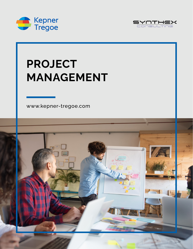



## **PROJECT MANAGEMENT**

[www.kepner-tregoe.com](http://www.kepner-tregoe.com)